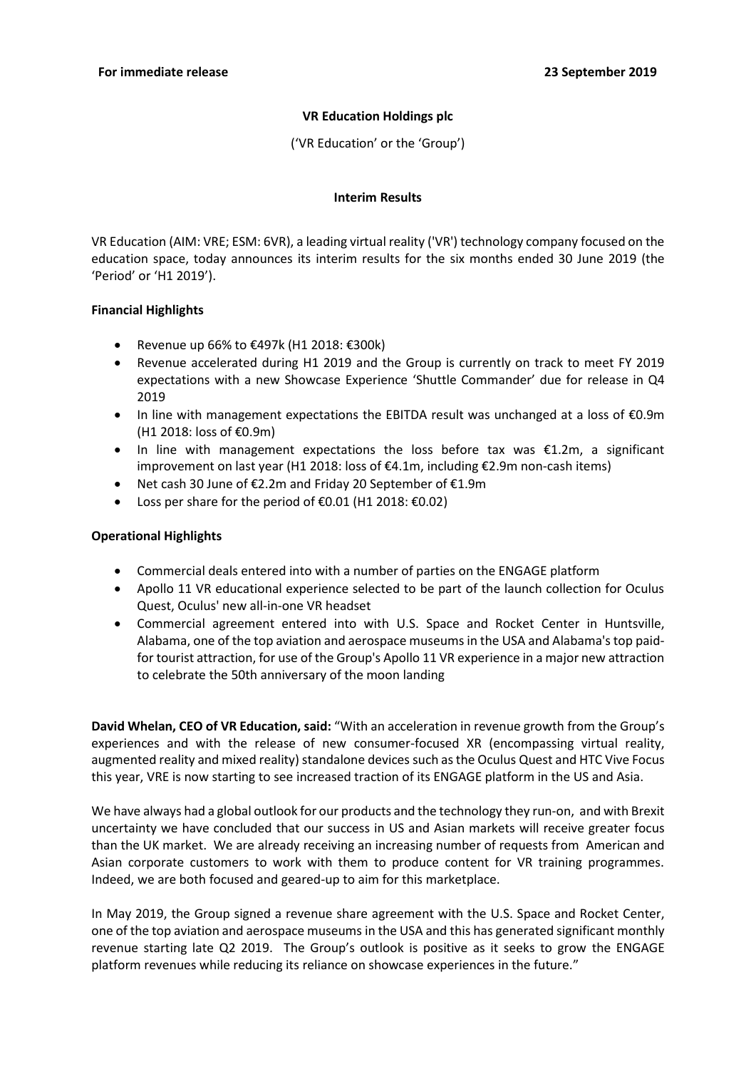## **VR Education Holdings plc**

('VR Education' or the 'Group')

## **Interim Results**

VR Education (AIM: VRE; ESM: 6VR), a leading virtual reality ('VR') technology company focused on the education space, today announces its interim results for the six months ended 30 June 2019 (the 'Period' or 'H1 2019').

## **Financial Highlights**

- Revenue up 66% to  $€497k$  (H1 2018:  $€300k$ )
- Revenue accelerated during H1 2019 and the Group is currently on track to meet FY 2019 expectations with a new Showcase Experience 'Shuttle Commander' due for release in Q4 2019
- In line with management expectations the EBITDA result was unchanged at a loss of €0.9m (H1 2018: loss of €0.9m)
- In line with management expectations the loss before tax was  $£1.2m$ , a significant improvement on last year (H1 2018: loss of €4.1m, including €2.9m non-cash items)
- Net cash 30 June of €2.2m and Friday 20 September of €1.9m
- Loss per share for the period of €0.01 (H1 2018: €0.02)

## **Operational Highlights**

- Commercial deals entered into with a number of parties on the ENGAGE platform
- Apollo 11 VR educational experience selected to be part of the launch collection for Oculus Quest, Oculus' new all-in-one VR headset
- Commercial agreement entered into with U.S. Space and Rocket Center in Huntsville, Alabama, one of the top aviation and aerospace museums in the USA and Alabama's top paidfor tourist attraction, for use of the Group's Apollo 11 VR experience in a major new attraction to celebrate the 50th anniversary of the moon landing

**David Whelan, CEO of VR Education, said:** "With an acceleration in revenue growth from the Group's experiences and with the release of new consumer-focused XR (encompassing virtual reality, augmented reality and mixed reality) standalone devices such as the Oculus Quest and HTC Vive Focus this year, VRE is now starting to see increased traction of its ENGAGE platform in the US and Asia.

We have always had a global outlook for our products and the technology they run-on, and with Brexit uncertainty we have concluded that our success in US and Asian markets will receive greater focus than the UK market. We are already receiving an increasing number of requests from American and Asian corporate customers to work with them to produce content for VR training programmes. Indeed, we are both focused and geared-up to aim for this marketplace.

In May 2019, the Group signed a revenue share agreement with the U.S. Space and Rocket Center, one of the top aviation and aerospace museums in the USA and this has generated significant monthly revenue starting late Q2 2019. The Group's outlook is positive as it seeks to grow the ENGAGE platform revenues while reducing its reliance on showcase experiences in the future."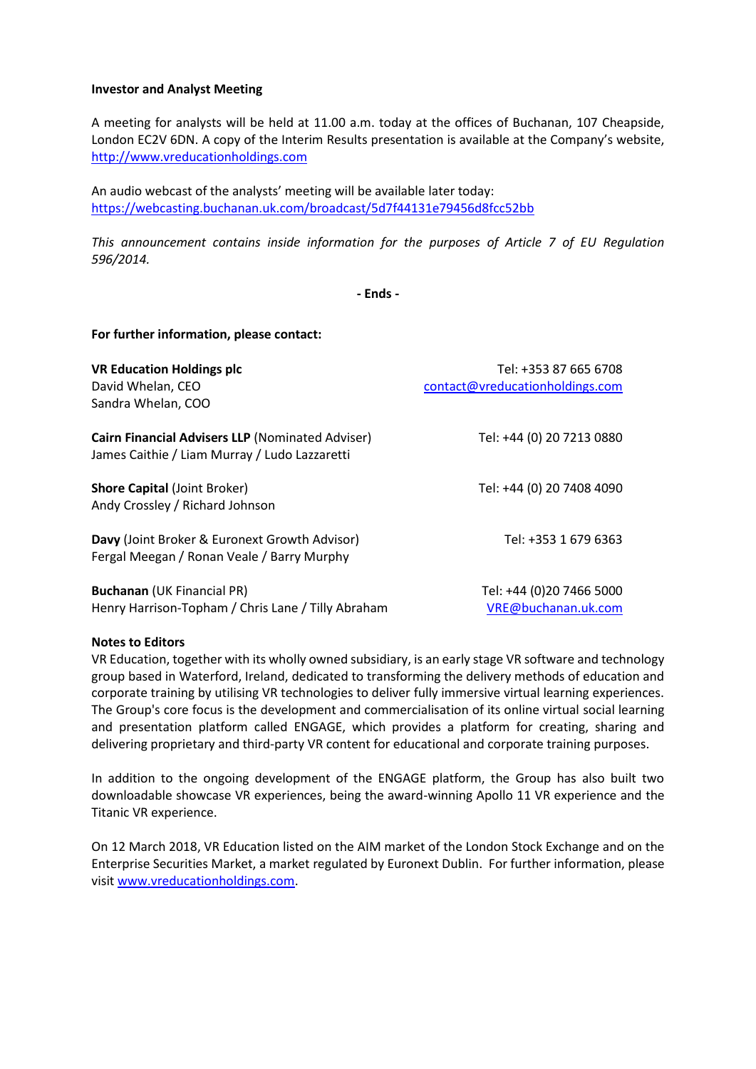#### **Investor and Analyst Meeting**

A meeting for analysts will be held at 11.00 a.m. today at the offices of Buchanan, 107 Cheapside, London EC2V 6DN. A copy of the Interim Results presentation is available at the Company's website, [http://www.vreducationholdings.com](http://www.vreducationholdings.com/)

An audio webcast of the analysts' meeting will be available later today: <https://webcasting.buchanan.uk.com/broadcast/5d7f44131e79456d8fcc52bb>

*This announcement contains inside information for the purposes of Article 7 of EU Regulation 596/2014.*

**- Ends -**

**For further information, please contact:**

| <b>VR Education Holdings plc</b><br>David Whelan, CEO<br>Sandra Whelan, COO                              | Tel: +353 87 665 6708<br>contact@vreducationholdings.com |
|----------------------------------------------------------------------------------------------------------|----------------------------------------------------------|
| <b>Cairn Financial Advisers LLP (Nominated Adviser)</b><br>James Caithie / Liam Murray / Ludo Lazzaretti | Tel: +44 (0) 20 7213 0880                                |
| <b>Shore Capital (Joint Broker)</b><br>Andy Crossley / Richard Johnson                                   | Tel: +44 (0) 20 7408 4090                                |
| Davy (Joint Broker & Euronext Growth Advisor)<br>Fergal Meegan / Ronan Veale / Barry Murphy              | Tel: +353 1 679 6363                                     |
| <b>Buchanan (UK Financial PR)</b><br>Henry Harrison-Topham / Chris Lane / Tilly Abraham                  | Tel: +44 (0)20 7466 5000<br>VRE@buchanan.uk.com          |

#### **Notes to Editors**

VR Education, together with its wholly owned subsidiary, is an early stage VR software and technology group based in Waterford, Ireland, dedicated to transforming the delivery methods of education and corporate training by utilising VR technologies to deliver fully immersive virtual learning experiences. The Group's core focus is the development and commercialisation of its online virtual social learning and presentation platform called ENGAGE, which provides a platform for creating, sharing and delivering proprietary and third-party VR content for educational and corporate training purposes.

In addition to the ongoing development of the ENGAGE platform, the Group has also built two downloadable showcase VR experiences, being the award-winning Apollo 11 VR experience and the Titanic VR experience.

On 12 March 2018, VR Education listed on the AIM market of the London Stock Exchange and on the Enterprise Securities Market, a market regulated by Euronext Dublin. For further information, please visi[t www.vreducationholdings.com.](http://www.vreducationholdings.com/)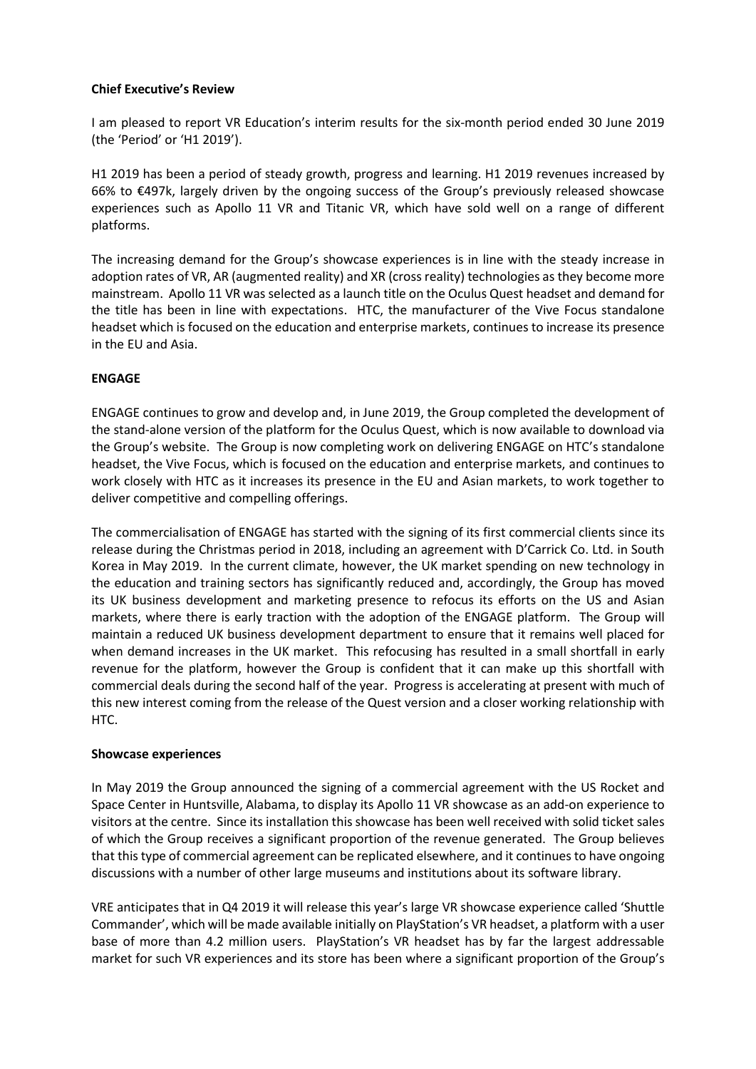## **Chief Executive's Review**

I am pleased to report VR Education's interim results for the six-month period ended 30 June 2019 (the 'Period' or 'H1 2019').

H1 2019 has been a period of steady growth, progress and learning. H1 2019 revenues increased by 66% to €497k, largely driven by the ongoing success of the Group's previously released showcase experiences such as Apollo 11 VR and Titanic VR, which have sold well on a range of different platforms.

The increasing demand for the Group's showcase experiences is in line with the steady increase in adoption rates of VR, AR (augmented reality) and XR (cross reality) technologies as they become more mainstream. Apollo 11 VR was selected as a launch title on the Oculus Quest headset and demand for the title has been in line with expectations. HTC, the manufacturer of the Vive Focus standalone headset which is focused on the education and enterprise markets, continues to increase its presence in the EU and Asia.

# **ENGAGE**

ENGAGE continues to grow and develop and, in June 2019, the Group completed the development of the stand-alone version of the platform for the Oculus Quest, which is now available to download via the Group's website. The Group is now completing work on delivering ENGAGE on HTC's standalone headset, the Vive Focus, which is focused on the education and enterprise markets, and continues to work closely with HTC as it increases its presence in the EU and Asian markets, to work together to deliver competitive and compelling offerings.

The commercialisation of ENGAGE has started with the signing of its first commercial clients since its release during the Christmas period in 2018, including an agreement with D'Carrick Co. Ltd. in South Korea in May 2019. In the current climate, however, the UK market spending on new technology in the education and training sectors has significantly reduced and, accordingly, the Group has moved its UK business development and marketing presence to refocus its efforts on the US and Asian markets, where there is early traction with the adoption of the ENGAGE platform. The Group will maintain a reduced UK business development department to ensure that it remains well placed for when demand increases in the UK market. This refocusing has resulted in a small shortfall in early revenue for the platform, however the Group is confident that it can make up this shortfall with commercial deals during the second half of the year. Progress is accelerating at present with much of this new interest coming from the release of the Quest version and a closer working relationship with HTC.

## **Showcase experiences**

In May 2019 the Group announced the signing of a commercial agreement with the US Rocket and Space Center in Huntsville, Alabama, to display its Apollo 11 VR showcase as an add-on experience to visitors at the centre. Since its installation this showcase has been well received with solid ticket sales of which the Group receives a significant proportion of the revenue generated. The Group believes that this type of commercial agreement can be replicated elsewhere, and it continues to have ongoing discussions with a number of other large museums and institutions about its software library.

VRE anticipates that in Q4 2019 it will release this year's large VR showcase experience called 'Shuttle Commander', which will be made available initially on PlayStation's VR headset, a platform with a user base of more than 4.2 million users. PlayStation's VR headset has by far the largest addressable market for such VR experiences and its store has been where a significant proportion of the Group's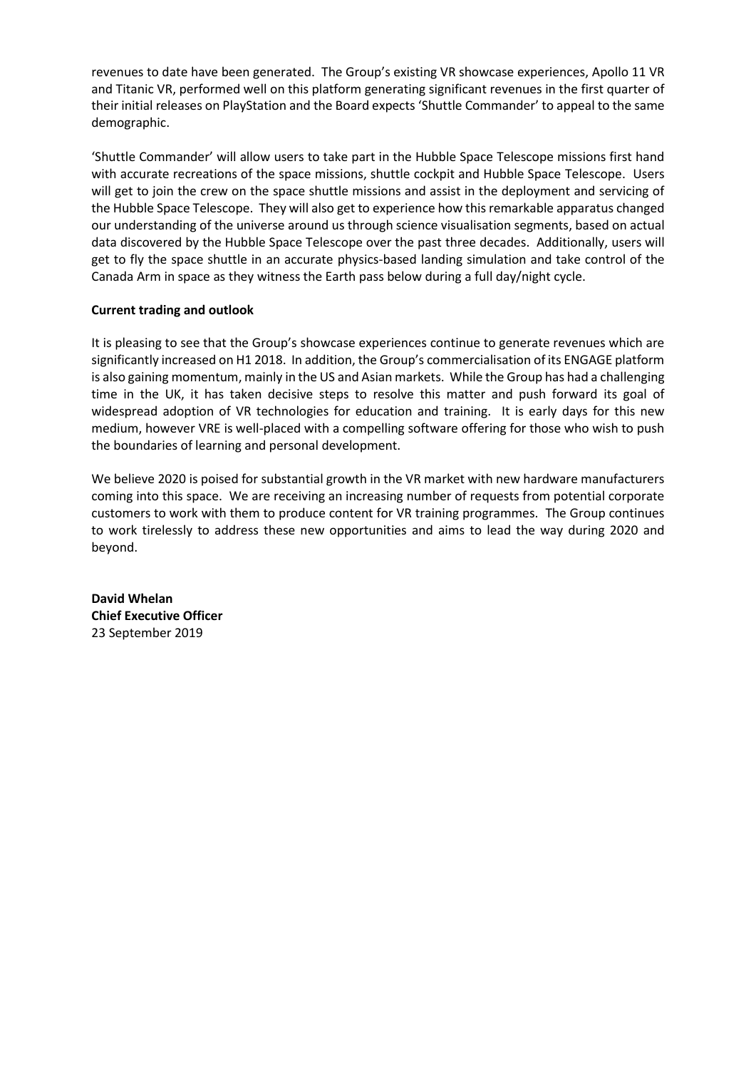revenues to date have been generated. The Group's existing VR showcase experiences, Apollo 11 VR and Titanic VR, performed well on this platform generating significant revenues in the first quarter of their initial releases on PlayStation and the Board expects 'Shuttle Commander' to appeal to the same demographic.

'Shuttle Commander' will allow users to take part in the Hubble Space Telescope missions first hand with accurate recreations of the space missions, shuttle cockpit and Hubble Space Telescope. Users will get to join the crew on the space shuttle missions and assist in the deployment and servicing of the Hubble Space Telescope. They will also get to experience how this remarkable apparatus changed our understanding of the universe around us through science visualisation segments, based on actual data discovered by the Hubble Space Telescope over the past three decades. Additionally, users will get to fly the space shuttle in an accurate physics-based landing simulation and take control of the Canada Arm in space as they witness the Earth pass below during a full day/night cycle.

## **Current trading and outlook**

It is pleasing to see that the Group's showcase experiences continue to generate revenues which are significantly increased on H1 2018. In addition, the Group's commercialisation of its ENGAGE platform is also gaining momentum, mainly in the US and Asian markets. While the Group has had a challenging time in the UK, it has taken decisive steps to resolve this matter and push forward its goal of widespread adoption of VR technologies for education and training. It is early days for this new medium, however VRE is well-placed with a compelling software offering for those who wish to push the boundaries of learning and personal development.

We believe 2020 is poised for substantial growth in the VR market with new hardware manufacturers coming into this space. We are receiving an increasing number of requests from potential corporate customers to work with them to produce content for VR training programmes. The Group continues to work tirelessly to address these new opportunities and aims to lead the way during 2020 and beyond.

**David Whelan Chief Executive Officer** 23 September 2019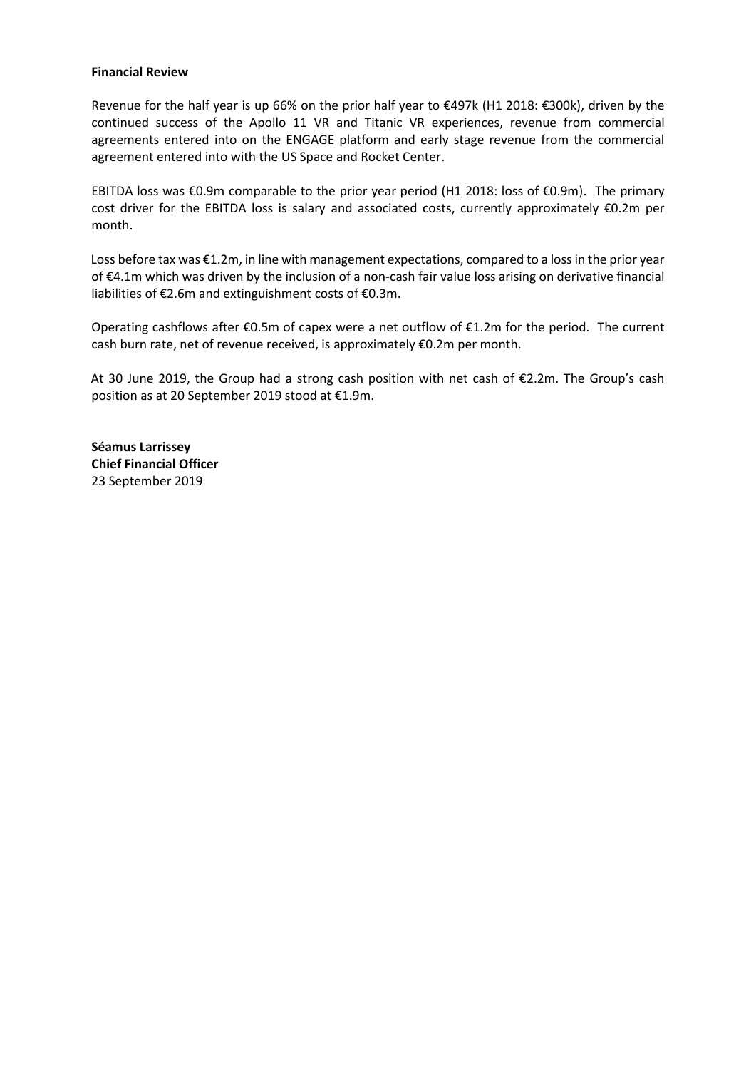#### **Financial Review**

Revenue for the half year is up 66% on the prior half year to €497k (H1 2018: €300k), driven by the continued success of the Apollo 11 VR and Titanic VR experiences, revenue from commercial agreements entered into on the ENGAGE platform and early stage revenue from the commercial agreement entered into with the US Space and Rocket Center.

EBITDA loss was €0.9m comparable to the prior year period (H1 2018: loss of €0.9m). The primary cost driver for the EBITDA loss is salary and associated costs, currently approximately €0.2m per month.

Loss before tax was €1.2m, in line with management expectations, compared to a loss in the prior year of €4.1m which was driven by the inclusion of a non-cash fair value loss arising on derivative financial liabilities of €2.6m and extinguishment costs of €0.3m.

Operating cashflows after  $\epsilon$ 0.5m of capex were a net outflow of  $\epsilon$ 1.2m for the period. The current cash burn rate, net of revenue received, is approximately €0.2m per month.

At 30 June 2019, the Group had a strong cash position with net cash of €2.2m. The Group's cash position as at 20 September 2019 stood at €1.9m.

**Séamus Larrissey Chief Financial Officer** 23 September 2019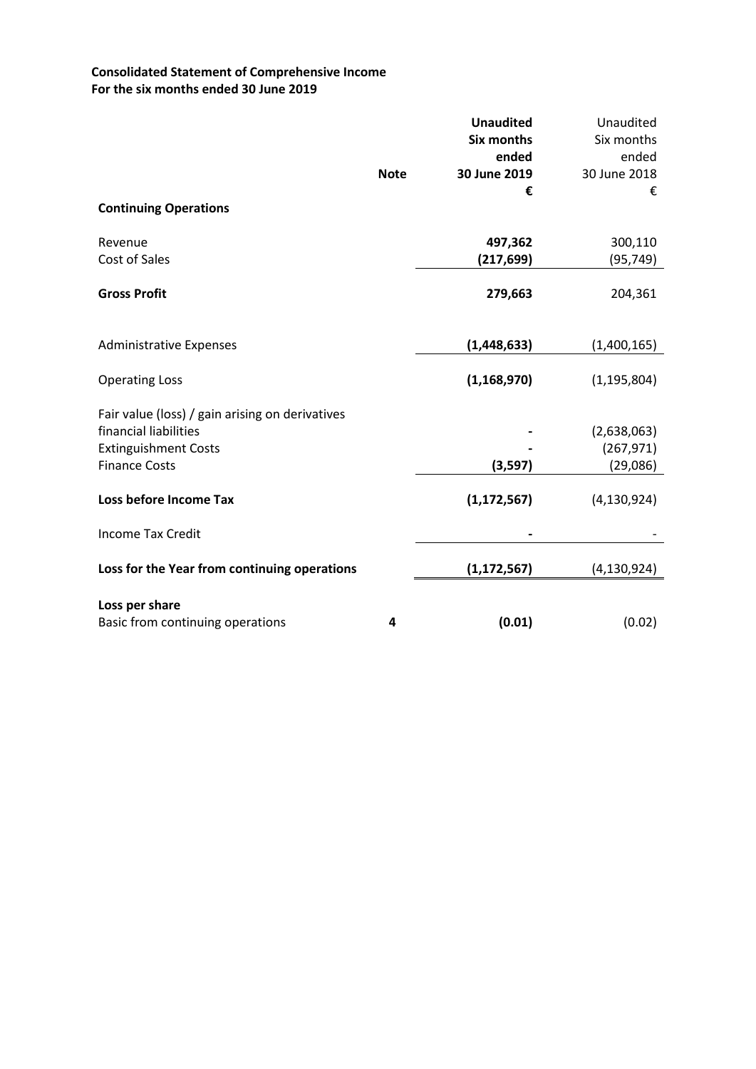# **Consolidated Statement of Comprehensive Income For the six months ended 30 June 2019**

|                                                 |             | <b>Unaudited</b><br>Six months | Unaudited<br>Six months |
|-------------------------------------------------|-------------|--------------------------------|-------------------------|
|                                                 |             | ended                          | ended                   |
|                                                 | <b>Note</b> | 30 June 2019                   | 30 June 2018            |
|                                                 |             | €                              | €                       |
| <b>Continuing Operations</b>                    |             |                                |                         |
| Revenue                                         |             | 497,362                        | 300,110                 |
| Cost of Sales                                   |             | (217, 699)                     | (95, 749)               |
| <b>Gross Profit</b>                             |             | 279,663                        | 204,361                 |
| <b>Administrative Expenses</b>                  |             | (1,448,633)                    | (1,400,165)             |
| <b>Operating Loss</b>                           |             | (1, 168, 970)                  | (1, 195, 804)           |
| Fair value (loss) / gain arising on derivatives |             |                                |                         |
| financial liabilities                           |             |                                | (2,638,063)             |
| <b>Extinguishment Costs</b>                     |             |                                | (267, 971)              |
| <b>Finance Costs</b>                            |             | (3, 597)                       | (29,086)                |
| Loss before Income Tax                          |             | (1, 172, 567)                  | (4, 130, 924)           |
| <b>Income Tax Credit</b>                        |             |                                |                         |
| Loss for the Year from continuing operations    |             | (1, 172, 567)                  | (4, 130, 924)           |
| Loss per share                                  |             |                                |                         |
| Basic from continuing operations                | 4           | (0.01)                         | (0.02)                  |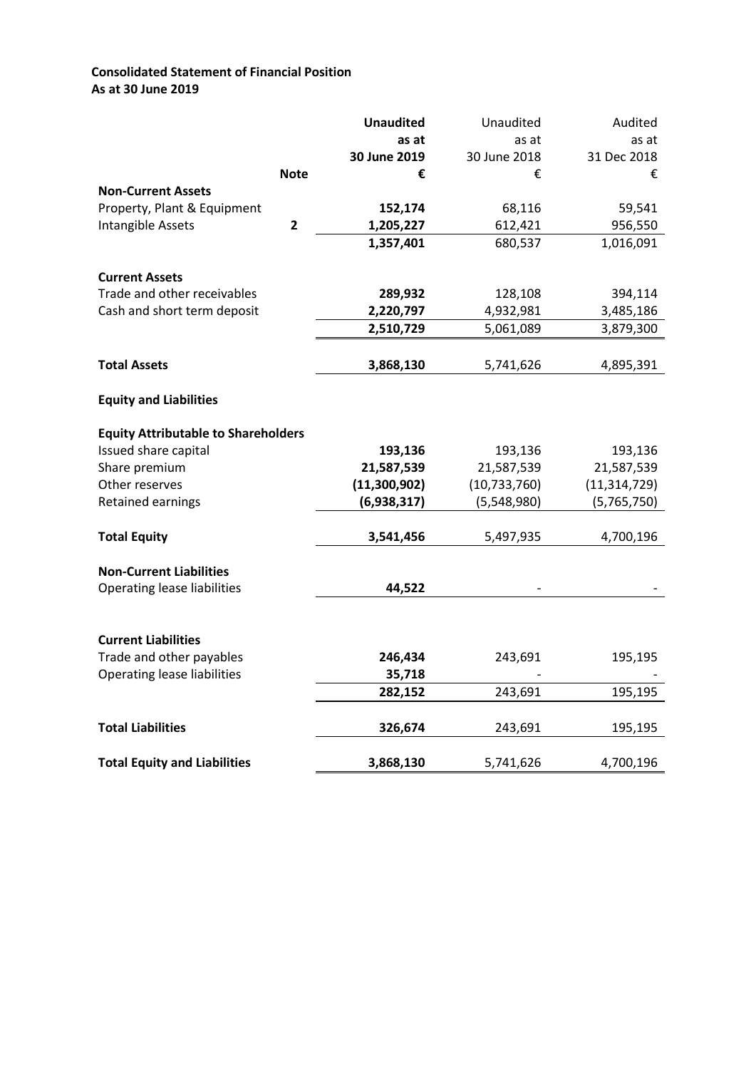# **Consolidated Statement of Financial Position As at 30 June 2019**

|                                            |             | <b>Unaudited</b> | Unaudited      | Audited        |
|--------------------------------------------|-------------|------------------|----------------|----------------|
|                                            |             | as at            | as at          | as at          |
|                                            |             | 30 June 2019     | 30 June 2018   | 31 Dec 2018    |
|                                            | <b>Note</b> | €                | €              | €              |
| <b>Non-Current Assets</b>                  |             |                  |                |                |
| Property, Plant & Equipment                |             | 152,174          | 68,116         | 59,541         |
| Intangible Assets                          | 2           | 1,205,227        | 612,421        | 956,550        |
|                                            |             | 1,357,401        | 680,537        | 1,016,091      |
|                                            |             |                  |                |                |
| <b>Current Assets</b>                      |             |                  |                |                |
| Trade and other receivables                |             | 289,932          | 128,108        | 394,114        |
| Cash and short term deposit                |             | 2,220,797        | 4,932,981      | 3,485,186      |
|                                            |             | 2,510,729        | 5,061,089      | 3,879,300      |
|                                            |             |                  |                |                |
| <b>Total Assets</b>                        |             | 3,868,130        | 5,741,626      | 4,895,391      |
|                                            |             |                  |                |                |
| <b>Equity and Liabilities</b>              |             |                  |                |                |
| <b>Equity Attributable to Shareholders</b> |             |                  |                |                |
| Issued share capital                       |             | 193,136          | 193,136        | 193,136        |
| Share premium                              |             | 21,587,539       | 21,587,539     | 21,587,539     |
| Other reserves                             |             | (11,300,902)     | (10, 733, 760) | (11, 314, 729) |
| Retained earnings                          |             | (6,938,317)      | (5,548,980)    | (5,765,750)    |
|                                            |             |                  |                |                |
| <b>Total Equity</b>                        |             | 3,541,456        | 5,497,935      | 4,700,196      |
|                                            |             |                  |                |                |
| <b>Non-Current Liabilities</b>             |             |                  |                |                |
| <b>Operating lease liabilities</b>         |             | 44,522           |                |                |
|                                            |             |                  |                |                |
| <b>Current Liabilities</b>                 |             |                  |                |                |
| Trade and other payables                   |             | 246,434          | 243,691        | 195,195        |
| <b>Operating lease liabilities</b>         |             | 35,718           |                |                |
|                                            |             | 282,152          | 243,691        | 195,195        |
|                                            |             |                  |                |                |
| <b>Total Liabilities</b>                   |             | 326,674          | 243,691        | 195,195        |
|                                            |             |                  |                |                |
| <b>Total Equity and Liabilities</b>        |             | 3,868,130        | 5,741,626      | 4,700,196      |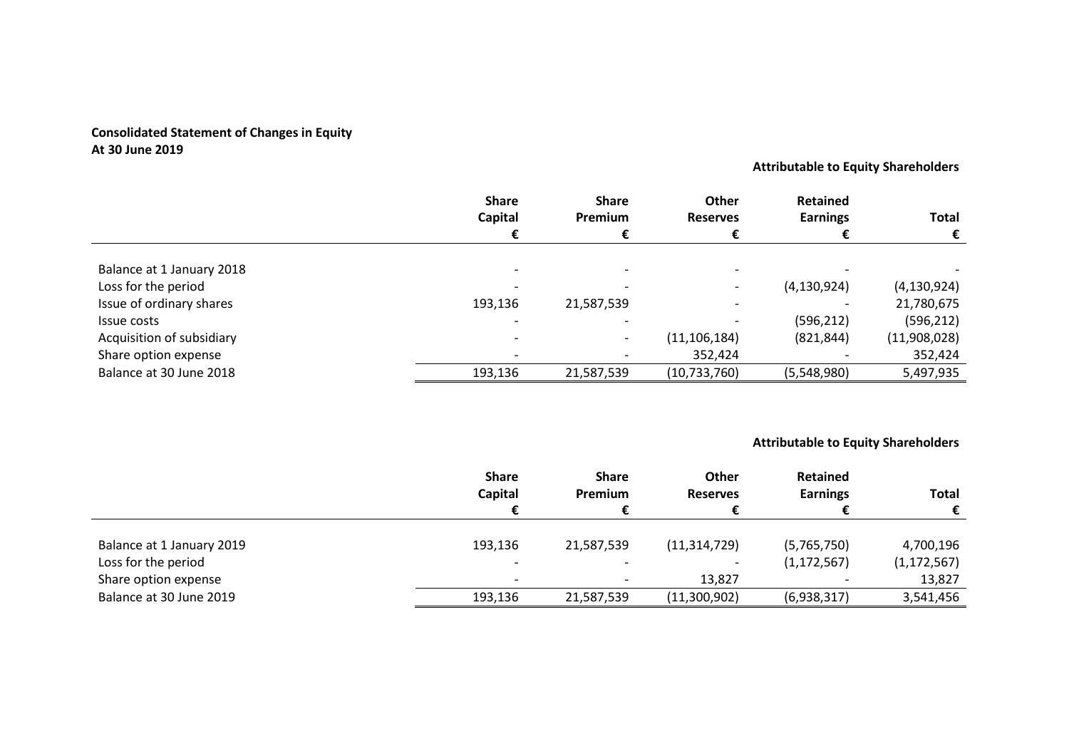# **Consolidated Statement of Changes in Equity At 30 June 2019**

**Attributable to Equity Shareholders**

|                           | <b>Share</b> | <b>Share</b>             | <b>Other</b>    | <b>Retained</b> |               |
|---------------------------|--------------|--------------------------|-----------------|-----------------|---------------|
|                           | Capital      | <b>Premium</b>           | <b>Reserves</b> | <b>Earnings</b> | <b>Total</b>  |
|                           |              |                          |                 |                 |               |
| Balance at 1 January 2018 |              |                          |                 |                 |               |
| Loss for the period       |              |                          |                 | (4, 130, 924)   | (4, 130, 924) |
| Issue of ordinary shares  | 193,136      | 21,587,539               |                 |                 | 21,780,675    |
| Issue costs               |              |                          |                 | (596, 212)      | (596, 212)    |
| Acquisition of subsidiary |              | $\overline{\phantom{0}}$ | (11, 106, 184)  | (821, 844)      | (11,908,028)  |
| Share option expense      |              |                          | 352,424         |                 | 352,424       |
| Balance at 30 June 2018   | 193,136      | 21,587,539               | (10, 733, 760)  | (5,548,980)     | 5,497,935     |

**Attributable to Equity Shareholders**

|                           | <b>Share</b><br>Capital  | <b>Share</b><br>Premium | <b>Other</b><br><b>Reserves</b> | Retained<br><b>Earnings</b> | Total         |
|---------------------------|--------------------------|-------------------------|---------------------------------|-----------------------------|---------------|
|                           |                          |                         |                                 |                             | €             |
| Balance at 1 January 2019 | 193,136                  | 21,587,539              | (11, 314, 729)                  | (5,765,750)                 | 4,700,196     |
| Loss for the period       | $\overline{\phantom{a}}$ |                         |                                 | (1, 172, 567)               | (1, 172, 567) |
| Share option expense      | $\overline{\phantom{0}}$ |                         | 13,827                          |                             | 13,827        |
| Balance at 30 June 2019   | 193,136                  | 21,587,539              | (11,300,902)                    | (6,938,317)                 | 3,541,456     |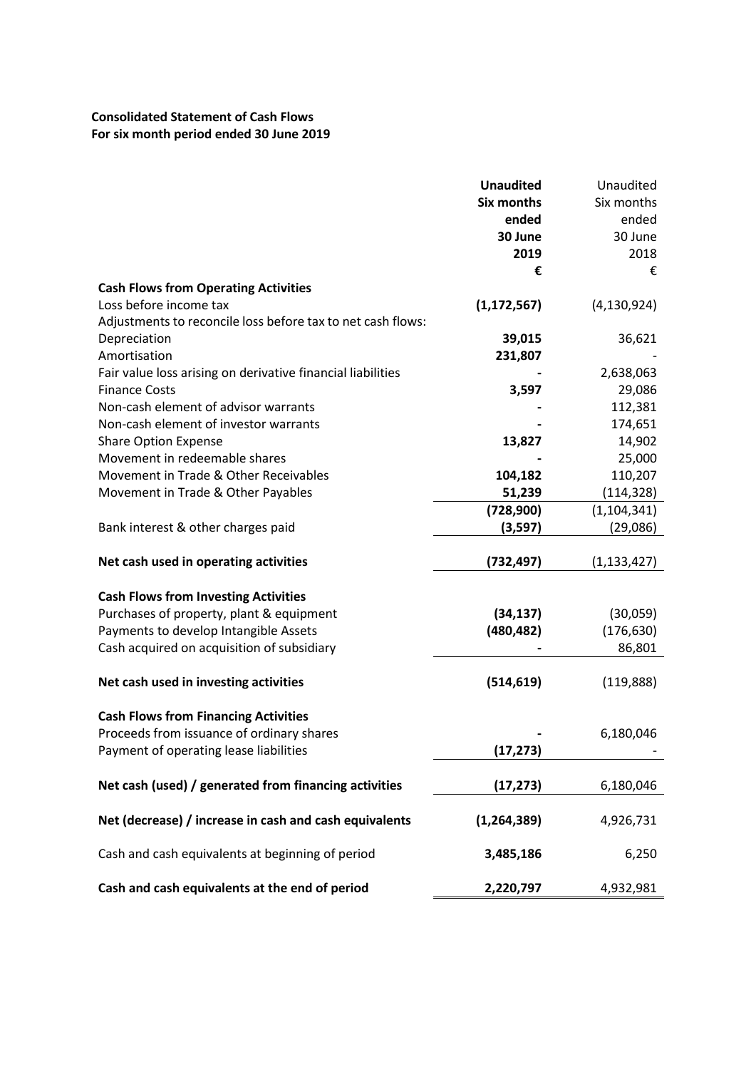# **Consolidated Statement of Cash Flows For six month period ended 30 June 2019**

| <b>Six months</b><br>Six months<br>ended<br>ended<br>30 June<br>30 June<br>2019<br>2018<br>€<br>€<br><b>Cash Flows from Operating Activities</b><br>Loss before income tax<br>(1, 172, 567)<br>(4, 130, 924)<br>Adjustments to reconcile loss before tax to net cash flows:<br>39,015<br>Depreciation<br>36,621<br>231,807<br>Fair value loss arising on derivative financial liabilities<br>2,638,063<br>3,597<br><b>Finance Costs</b><br>29,086<br>Non-cash element of advisor warrants<br>112,381<br>Non-cash element of investor warrants<br>174,651<br>14,902<br><b>Share Option Expense</b><br>13,827<br>Movement in redeemable shares<br>25,000<br>Movement in Trade & Other Receivables<br>104,182<br>110,207<br>Movement in Trade & Other Payables<br>51,239<br>(114, 328)<br>(728,900)<br>(1, 104, 341)<br>Bank interest & other charges paid<br>(3, 597)<br>(29,086)<br>(732,497)<br>Net cash used in operating activities<br>(1, 133, 427)<br><b>Cash Flows from Investing Activities</b><br>Purchases of property, plant & equipment<br>(34, 137)<br>(30,059)<br>Payments to develop Intangible Assets<br>(480, 482)<br>(176, 630)<br>Cash acquired on acquisition of subsidiary<br>86,801<br>Net cash used in investing activities<br>(514, 619)<br>(119,888)<br><b>Cash Flows from Financing Activities</b><br>Proceeds from issuance of ordinary shares<br>6,180,046<br>Payment of operating lease liabilities<br>(17, 273)<br>Net cash (used) / generated from financing activities<br>(17, 273)<br>6,180,046<br>Net (decrease) / increase in cash and cash equivalents<br>(1, 264, 389)<br>4,926,731<br>Cash and cash equivalents at beginning of period<br>6,250<br>3,485,186<br>Cash and cash equivalents at the end of period<br>2,220,797<br>4,932,981 |              | <b>Unaudited</b> | Unaudited |
|------------------------------------------------------------------------------------------------------------------------------------------------------------------------------------------------------------------------------------------------------------------------------------------------------------------------------------------------------------------------------------------------------------------------------------------------------------------------------------------------------------------------------------------------------------------------------------------------------------------------------------------------------------------------------------------------------------------------------------------------------------------------------------------------------------------------------------------------------------------------------------------------------------------------------------------------------------------------------------------------------------------------------------------------------------------------------------------------------------------------------------------------------------------------------------------------------------------------------------------------------------------------------------------------------------------------------------------------------------------------------------------------------------------------------------------------------------------------------------------------------------------------------------------------------------------------------------------------------------------------------------------------------------------------------------------------------------------------------------------------------------------------------|--------------|------------------|-----------|
|                                                                                                                                                                                                                                                                                                                                                                                                                                                                                                                                                                                                                                                                                                                                                                                                                                                                                                                                                                                                                                                                                                                                                                                                                                                                                                                                                                                                                                                                                                                                                                                                                                                                                                                                                                              |              |                  |           |
|                                                                                                                                                                                                                                                                                                                                                                                                                                                                                                                                                                                                                                                                                                                                                                                                                                                                                                                                                                                                                                                                                                                                                                                                                                                                                                                                                                                                                                                                                                                                                                                                                                                                                                                                                                              |              |                  |           |
|                                                                                                                                                                                                                                                                                                                                                                                                                                                                                                                                                                                                                                                                                                                                                                                                                                                                                                                                                                                                                                                                                                                                                                                                                                                                                                                                                                                                                                                                                                                                                                                                                                                                                                                                                                              |              |                  |           |
|                                                                                                                                                                                                                                                                                                                                                                                                                                                                                                                                                                                                                                                                                                                                                                                                                                                                                                                                                                                                                                                                                                                                                                                                                                                                                                                                                                                                                                                                                                                                                                                                                                                                                                                                                                              |              |                  |           |
|                                                                                                                                                                                                                                                                                                                                                                                                                                                                                                                                                                                                                                                                                                                                                                                                                                                                                                                                                                                                                                                                                                                                                                                                                                                                                                                                                                                                                                                                                                                                                                                                                                                                                                                                                                              |              |                  |           |
|                                                                                                                                                                                                                                                                                                                                                                                                                                                                                                                                                                                                                                                                                                                                                                                                                                                                                                                                                                                                                                                                                                                                                                                                                                                                                                                                                                                                                                                                                                                                                                                                                                                                                                                                                                              |              |                  |           |
|                                                                                                                                                                                                                                                                                                                                                                                                                                                                                                                                                                                                                                                                                                                                                                                                                                                                                                                                                                                                                                                                                                                                                                                                                                                                                                                                                                                                                                                                                                                                                                                                                                                                                                                                                                              |              |                  |           |
|                                                                                                                                                                                                                                                                                                                                                                                                                                                                                                                                                                                                                                                                                                                                                                                                                                                                                                                                                                                                                                                                                                                                                                                                                                                                                                                                                                                                                                                                                                                                                                                                                                                                                                                                                                              |              |                  |           |
|                                                                                                                                                                                                                                                                                                                                                                                                                                                                                                                                                                                                                                                                                                                                                                                                                                                                                                                                                                                                                                                                                                                                                                                                                                                                                                                                                                                                                                                                                                                                                                                                                                                                                                                                                                              |              |                  |           |
|                                                                                                                                                                                                                                                                                                                                                                                                                                                                                                                                                                                                                                                                                                                                                                                                                                                                                                                                                                                                                                                                                                                                                                                                                                                                                                                                                                                                                                                                                                                                                                                                                                                                                                                                                                              | Amortisation |                  |           |
|                                                                                                                                                                                                                                                                                                                                                                                                                                                                                                                                                                                                                                                                                                                                                                                                                                                                                                                                                                                                                                                                                                                                                                                                                                                                                                                                                                                                                                                                                                                                                                                                                                                                                                                                                                              |              |                  |           |
|                                                                                                                                                                                                                                                                                                                                                                                                                                                                                                                                                                                                                                                                                                                                                                                                                                                                                                                                                                                                                                                                                                                                                                                                                                                                                                                                                                                                                                                                                                                                                                                                                                                                                                                                                                              |              |                  |           |
|                                                                                                                                                                                                                                                                                                                                                                                                                                                                                                                                                                                                                                                                                                                                                                                                                                                                                                                                                                                                                                                                                                                                                                                                                                                                                                                                                                                                                                                                                                                                                                                                                                                                                                                                                                              |              |                  |           |
|                                                                                                                                                                                                                                                                                                                                                                                                                                                                                                                                                                                                                                                                                                                                                                                                                                                                                                                                                                                                                                                                                                                                                                                                                                                                                                                                                                                                                                                                                                                                                                                                                                                                                                                                                                              |              |                  |           |
|                                                                                                                                                                                                                                                                                                                                                                                                                                                                                                                                                                                                                                                                                                                                                                                                                                                                                                                                                                                                                                                                                                                                                                                                                                                                                                                                                                                                                                                                                                                                                                                                                                                                                                                                                                              |              |                  |           |
|                                                                                                                                                                                                                                                                                                                                                                                                                                                                                                                                                                                                                                                                                                                                                                                                                                                                                                                                                                                                                                                                                                                                                                                                                                                                                                                                                                                                                                                                                                                                                                                                                                                                                                                                                                              |              |                  |           |
|                                                                                                                                                                                                                                                                                                                                                                                                                                                                                                                                                                                                                                                                                                                                                                                                                                                                                                                                                                                                                                                                                                                                                                                                                                                                                                                                                                                                                                                                                                                                                                                                                                                                                                                                                                              |              |                  |           |
|                                                                                                                                                                                                                                                                                                                                                                                                                                                                                                                                                                                                                                                                                                                                                                                                                                                                                                                                                                                                                                                                                                                                                                                                                                                                                                                                                                                                                                                                                                                                                                                                                                                                                                                                                                              |              |                  |           |
|                                                                                                                                                                                                                                                                                                                                                                                                                                                                                                                                                                                                                                                                                                                                                                                                                                                                                                                                                                                                                                                                                                                                                                                                                                                                                                                                                                                                                                                                                                                                                                                                                                                                                                                                                                              |              |                  |           |
|                                                                                                                                                                                                                                                                                                                                                                                                                                                                                                                                                                                                                                                                                                                                                                                                                                                                                                                                                                                                                                                                                                                                                                                                                                                                                                                                                                                                                                                                                                                                                                                                                                                                                                                                                                              |              |                  |           |
|                                                                                                                                                                                                                                                                                                                                                                                                                                                                                                                                                                                                                                                                                                                                                                                                                                                                                                                                                                                                                                                                                                                                                                                                                                                                                                                                                                                                                                                                                                                                                                                                                                                                                                                                                                              |              |                  |           |
|                                                                                                                                                                                                                                                                                                                                                                                                                                                                                                                                                                                                                                                                                                                                                                                                                                                                                                                                                                                                                                                                                                                                                                                                                                                                                                                                                                                                                                                                                                                                                                                                                                                                                                                                                                              |              |                  |           |
|                                                                                                                                                                                                                                                                                                                                                                                                                                                                                                                                                                                                                                                                                                                                                                                                                                                                                                                                                                                                                                                                                                                                                                                                                                                                                                                                                                                                                                                                                                                                                                                                                                                                                                                                                                              |              |                  |           |
|                                                                                                                                                                                                                                                                                                                                                                                                                                                                                                                                                                                                                                                                                                                                                                                                                                                                                                                                                                                                                                                                                                                                                                                                                                                                                                                                                                                                                                                                                                                                                                                                                                                                                                                                                                              |              |                  |           |
|                                                                                                                                                                                                                                                                                                                                                                                                                                                                                                                                                                                                                                                                                                                                                                                                                                                                                                                                                                                                                                                                                                                                                                                                                                                                                                                                                                                                                                                                                                                                                                                                                                                                                                                                                                              |              |                  |           |
|                                                                                                                                                                                                                                                                                                                                                                                                                                                                                                                                                                                                                                                                                                                                                                                                                                                                                                                                                                                                                                                                                                                                                                                                                                                                                                                                                                                                                                                                                                                                                                                                                                                                                                                                                                              |              |                  |           |
|                                                                                                                                                                                                                                                                                                                                                                                                                                                                                                                                                                                                                                                                                                                                                                                                                                                                                                                                                                                                                                                                                                                                                                                                                                                                                                                                                                                                                                                                                                                                                                                                                                                                                                                                                                              |              |                  |           |
|                                                                                                                                                                                                                                                                                                                                                                                                                                                                                                                                                                                                                                                                                                                                                                                                                                                                                                                                                                                                                                                                                                                                                                                                                                                                                                                                                                                                                                                                                                                                                                                                                                                                                                                                                                              |              |                  |           |
|                                                                                                                                                                                                                                                                                                                                                                                                                                                                                                                                                                                                                                                                                                                                                                                                                                                                                                                                                                                                                                                                                                                                                                                                                                                                                                                                                                                                                                                                                                                                                                                                                                                                                                                                                                              |              |                  |           |
|                                                                                                                                                                                                                                                                                                                                                                                                                                                                                                                                                                                                                                                                                                                                                                                                                                                                                                                                                                                                                                                                                                                                                                                                                                                                                                                                                                                                                                                                                                                                                                                                                                                                                                                                                                              |              |                  |           |
|                                                                                                                                                                                                                                                                                                                                                                                                                                                                                                                                                                                                                                                                                                                                                                                                                                                                                                                                                                                                                                                                                                                                                                                                                                                                                                                                                                                                                                                                                                                                                                                                                                                                                                                                                                              |              |                  |           |
|                                                                                                                                                                                                                                                                                                                                                                                                                                                                                                                                                                                                                                                                                                                                                                                                                                                                                                                                                                                                                                                                                                                                                                                                                                                                                                                                                                                                                                                                                                                                                                                                                                                                                                                                                                              |              |                  |           |
|                                                                                                                                                                                                                                                                                                                                                                                                                                                                                                                                                                                                                                                                                                                                                                                                                                                                                                                                                                                                                                                                                                                                                                                                                                                                                                                                                                                                                                                                                                                                                                                                                                                                                                                                                                              |              |                  |           |
|                                                                                                                                                                                                                                                                                                                                                                                                                                                                                                                                                                                                                                                                                                                                                                                                                                                                                                                                                                                                                                                                                                                                                                                                                                                                                                                                                                                                                                                                                                                                                                                                                                                                                                                                                                              |              |                  |           |
|                                                                                                                                                                                                                                                                                                                                                                                                                                                                                                                                                                                                                                                                                                                                                                                                                                                                                                                                                                                                                                                                                                                                                                                                                                                                                                                                                                                                                                                                                                                                                                                                                                                                                                                                                                              |              |                  |           |
|                                                                                                                                                                                                                                                                                                                                                                                                                                                                                                                                                                                                                                                                                                                                                                                                                                                                                                                                                                                                                                                                                                                                                                                                                                                                                                                                                                                                                                                                                                                                                                                                                                                                                                                                                                              |              |                  |           |
|                                                                                                                                                                                                                                                                                                                                                                                                                                                                                                                                                                                                                                                                                                                                                                                                                                                                                                                                                                                                                                                                                                                                                                                                                                                                                                                                                                                                                                                                                                                                                                                                                                                                                                                                                                              |              |                  |           |
|                                                                                                                                                                                                                                                                                                                                                                                                                                                                                                                                                                                                                                                                                                                                                                                                                                                                                                                                                                                                                                                                                                                                                                                                                                                                                                                                                                                                                                                                                                                                                                                                                                                                                                                                                                              |              |                  |           |
|                                                                                                                                                                                                                                                                                                                                                                                                                                                                                                                                                                                                                                                                                                                                                                                                                                                                                                                                                                                                                                                                                                                                                                                                                                                                                                                                                                                                                                                                                                                                                                                                                                                                                                                                                                              |              |                  |           |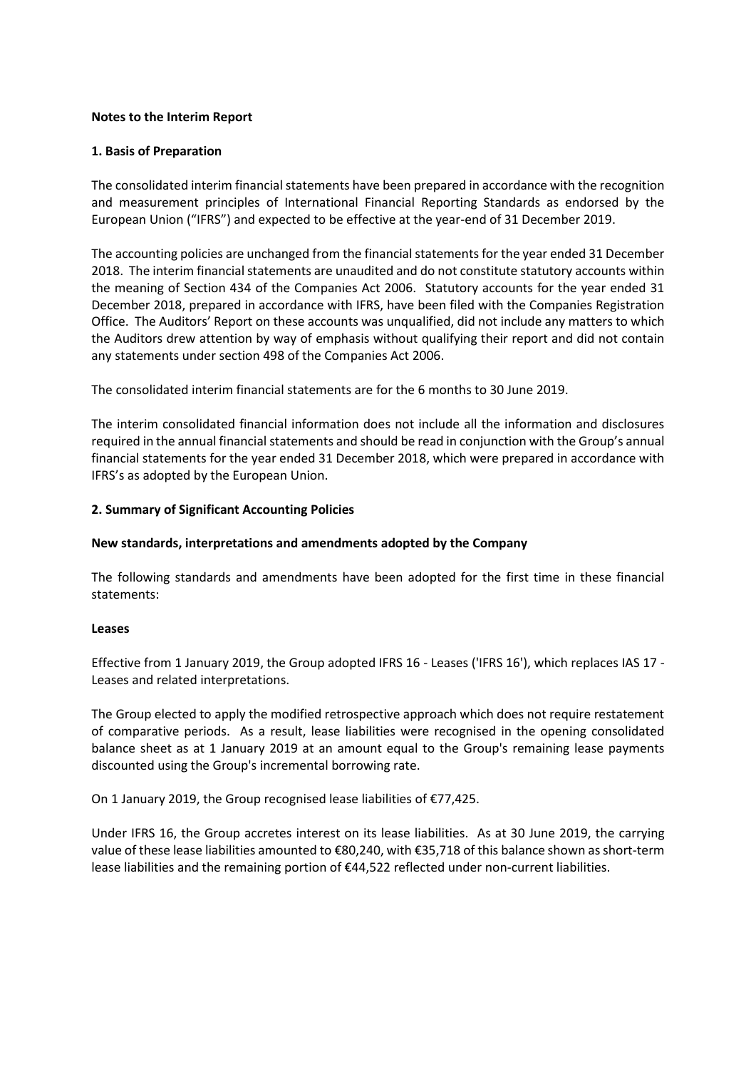## **Notes to the Interim Report**

#### **1. Basis of Preparation**

The consolidated interim financial statements have been prepared in accordance with the recognition and measurement principles of International Financial Reporting Standards as endorsed by the European Union ("IFRS") and expected to be effective at the year-end of 31 December 2019.

The accounting policies are unchanged from the financial statements for the year ended 31 December 2018. The interim financial statements are unaudited and do not constitute statutory accounts within the meaning of Section 434 of the Companies Act 2006. Statutory accounts for the year ended 31 December 2018, prepared in accordance with IFRS, have been filed with the Companies Registration Office. The Auditors' Report on these accounts was unqualified, did not include any matters to which the Auditors drew attention by way of emphasis without qualifying their report and did not contain any statements under section 498 of the Companies Act 2006.

The consolidated interim financial statements are for the 6 months to 30 June 2019.

The interim consolidated financial information does not include all the information and disclosures required in the annual financial statements and should be read in conjunction with the Group's annual financial statements for the year ended 31 December 2018, which were prepared in accordance with IFRS's as adopted by the European Union.

#### **2. Summary of Significant Accounting Policies**

#### **New standards, interpretations and amendments adopted by the Company**

The following standards and amendments have been adopted for the first time in these financial statements:

#### **Leases**

Effective from 1 January 2019, the Group adopted IFRS 16 - Leases ('IFRS 16'), which replaces IAS 17 - Leases and related interpretations.

The Group elected to apply the modified retrospective approach which does not require restatement of comparative periods. As a result, lease liabilities were recognised in the opening consolidated balance sheet as at 1 January 2019 at an amount equal to the Group's remaining lease payments discounted using the Group's incremental borrowing rate.

On 1 January 2019, the Group recognised lease liabilities of €77,425.

Under IFRS 16, the Group accretes interest on its lease liabilities. As at 30 June 2019, the carrying value of these lease liabilities amounted to €80,240, with €35,718 of this balance shown as short-term lease liabilities and the remaining portion of €44,522 reflected under non-current liabilities.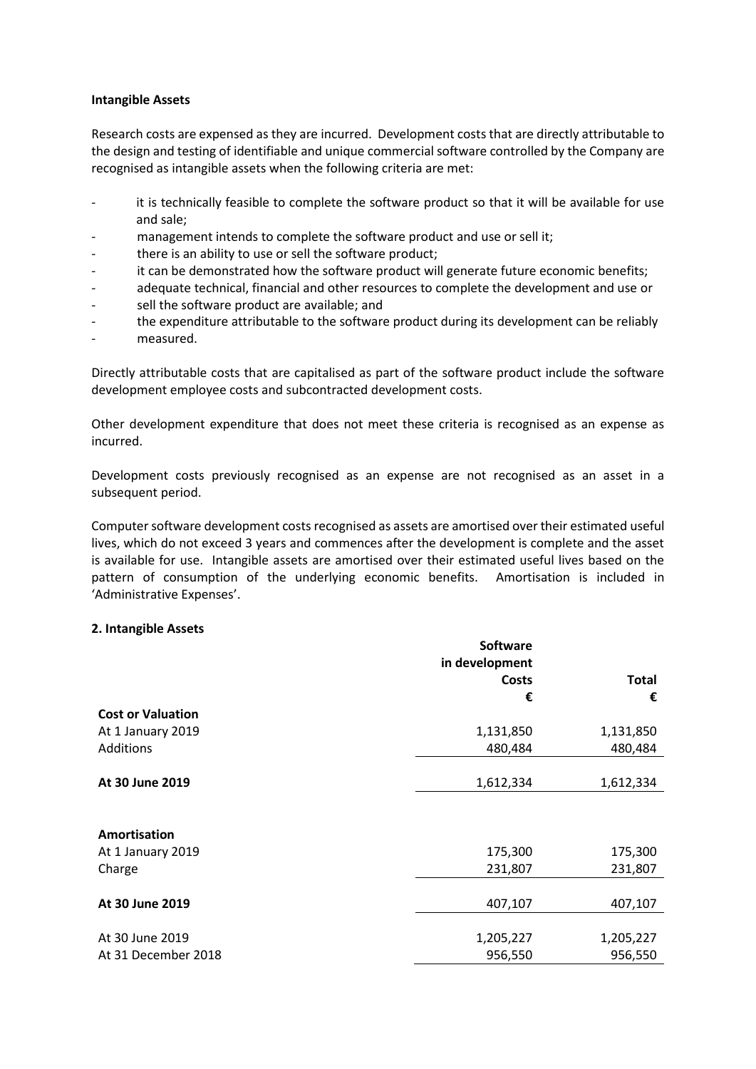### **Intangible Assets**

Research costs are expensed as they are incurred. Development costs that are directly attributable to the design and testing of identifiable and unique commercial software controlled by the Company are recognised as intangible assets when the following criteria are met:

- it is technically feasible to complete the software product so that it will be available for use and sale;
- management intends to complete the software product and use or sell it;
- there is an ability to use or sell the software product;
- it can be demonstrated how the software product will generate future economic benefits;
- adequate technical, financial and other resources to complete the development and use or
- sell the software product are available; and
- the expenditure attributable to the software product during its development can be reliably
- measured.

Directly attributable costs that are capitalised as part of the software product include the software development employee costs and subcontracted development costs.

Other development expenditure that does not meet these criteria is recognised as an expense as incurred.

Development costs previously recognised as an expense are not recognised as an asset in a subsequent period.

Computer software development costs recognised as assets are amortised over their estimated useful lives, which do not exceed 3 years and commences after the development is complete and the asset is available for use. Intangible assets are amortised over their estimated useful lives based on the pattern of consumption of the underlying economic benefits. Amortisation is included in 'Administrative Expenses'.

#### **2. Intangible Assets**

|                          | <b>Software</b> |              |
|--------------------------|-----------------|--------------|
|                          | in development  |              |
|                          | Costs           | <b>Total</b> |
|                          | €               | €            |
| <b>Cost or Valuation</b> |                 |              |
| At 1 January 2019        | 1,131,850       | 1,131,850    |
| Additions                | 480,484         | 480,484      |
|                          |                 |              |
| At 30 June 2019          | 1,612,334       | 1,612,334    |
|                          |                 |              |
| Amortisation             |                 |              |
| At 1 January 2019        | 175,300         | 175,300      |
|                          |                 |              |
| Charge                   | 231,807         | 231,807      |
|                          |                 |              |
| At 30 June 2019          | 407,107         | 407,107      |
|                          |                 |              |
| At 30 June 2019          | 1,205,227       | 1,205,227    |
| At 31 December 2018      | 956,550         | 956,550      |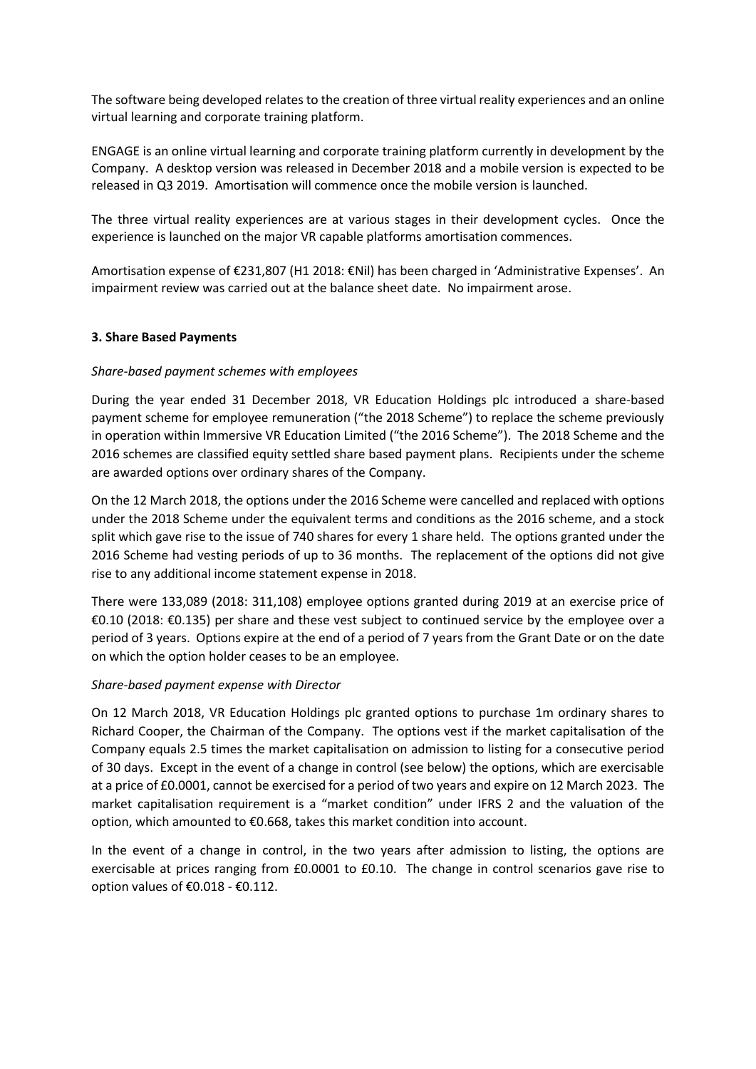The software being developed relates to the creation of three virtual reality experiences and an online virtual learning and corporate training platform.

ENGAGE is an online virtual learning and corporate training platform currently in development by the Company. A desktop version was released in December 2018 and a mobile version is expected to be released in Q3 2019. Amortisation will commence once the mobile version is launched.

The three virtual reality experiences are at various stages in their development cycles. Once the experience is launched on the major VR capable platforms amortisation commences.

Amortisation expense of €231,807 (H1 2018: €Nil) has been charged in 'Administrative Expenses'. An impairment review was carried out at the balance sheet date. No impairment arose.

## **3. Share Based Payments**

## *Share-based payment schemes with employees*

During the year ended 31 December 2018, VR Education Holdings plc introduced a share-based payment scheme for employee remuneration ("the 2018 Scheme") to replace the scheme previously in operation within Immersive VR Education Limited ("the 2016 Scheme"). The 2018 Scheme and the 2016 schemes are classified equity settled share based payment plans. Recipients under the scheme are awarded options over ordinary shares of the Company.

On the 12 March 2018, the options under the 2016 Scheme were cancelled and replaced with options under the 2018 Scheme under the equivalent terms and conditions as the 2016 scheme, and a stock split which gave rise to the issue of 740 shares for every 1 share held. The options granted under the 2016 Scheme had vesting periods of up to 36 months. The replacement of the options did not give rise to any additional income statement expense in 2018.

There were 133,089 (2018: 311,108) employee options granted during 2019 at an exercise price of €0.10 (2018: €0.135) per share and these vest subject to continued service by the employee over a period of 3 years. Options expire at the end of a period of 7 years from the Grant Date or on the date on which the option holder ceases to be an employee.

## *Share-based payment expense with Director*

On 12 March 2018, VR Education Holdings plc granted options to purchase 1m ordinary shares to Richard Cooper, the Chairman of the Company. The options vest if the market capitalisation of the Company equals 2.5 times the market capitalisation on admission to listing for a consecutive period of 30 days. Except in the event of a change in control (see below) the options, which are exercisable at a price of £0.0001, cannot be exercised for a period of two years and expire on 12 March 2023. The market capitalisation requirement is a "market condition" under IFRS 2 and the valuation of the option, which amounted to €0.668, takes this market condition into account.

In the event of a change in control, in the two years after admission to listing, the options are exercisable at prices ranging from £0.0001 to £0.10. The change in control scenarios gave rise to option values of €0.018 - €0.112.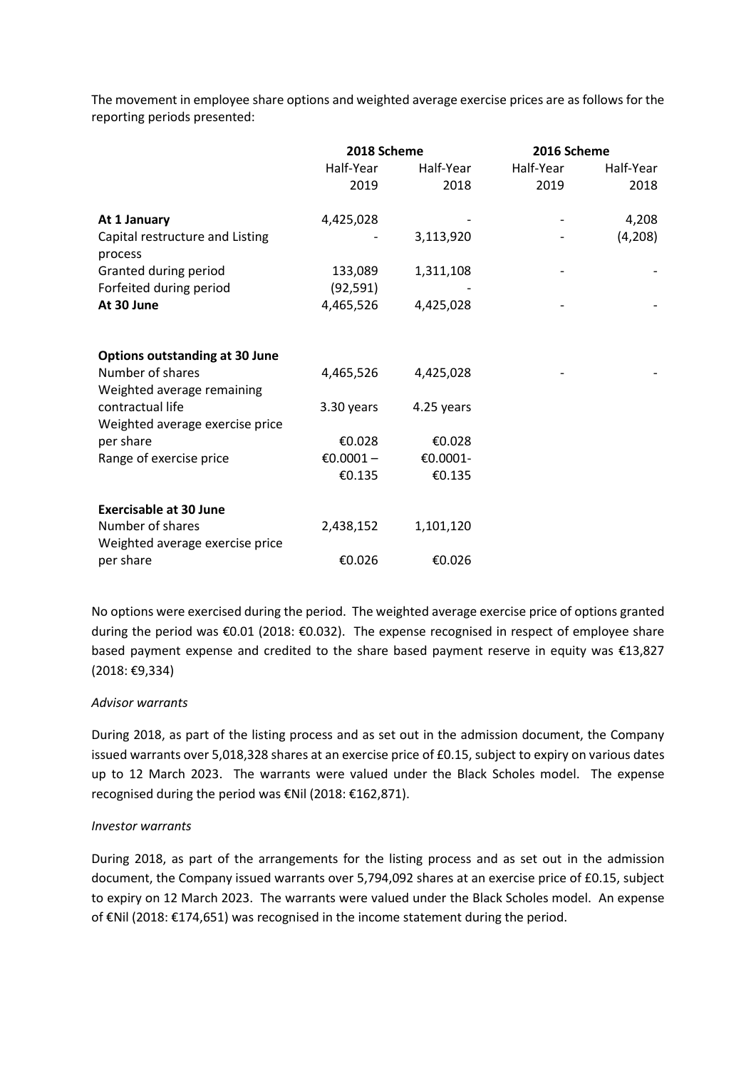The movement in employee share options and weighted average exercise prices are as follows for the reporting periods presented:

|                                                     | 2018 Scheme |            | 2016 Scheme |           |
|-----------------------------------------------------|-------------|------------|-------------|-----------|
|                                                     | Half-Year   | Half-Year  | Half-Year   | Half-Year |
|                                                     | 2019        | 2018       | 2019        | 2018      |
| At 1 January                                        | 4,425,028   |            |             | 4,208     |
| Capital restructure and Listing<br>process          |             | 3,113,920  |             | (4,208)   |
| Granted during period                               | 133,089     | 1,311,108  |             |           |
| Forfeited during period                             | (92, 591)   |            |             |           |
| At 30 June                                          | 4,465,526   | 4,425,028  |             |           |
| <b>Options outstanding at 30 June</b>               |             |            |             |           |
| Number of shares<br>Weighted average remaining      | 4,465,526   | 4,425,028  |             |           |
| contractual life<br>Weighted average exercise price | 3.30 years  | 4.25 years |             |           |
| per share                                           | €0.028      | €0.028     |             |           |
| Range of exercise price                             | €0.0001-    | €0.0001-   |             |           |
|                                                     | €0.135      | €0.135     |             |           |
| <b>Exercisable at 30 June</b>                       |             |            |             |           |
| Number of shares<br>Weighted average exercise price | 2,438,152   | 1,101,120  |             |           |
| per share                                           | €0.026      | €0.026     |             |           |

No options were exercised during the period. The weighted average exercise price of options granted during the period was €0.01 (2018: €0.032). The expense recognised in respect of employee share based payment expense and credited to the share based payment reserve in equity was €13,827 (2018: €9,334)

## *Advisor warrants*

During 2018, as part of the listing process and as set out in the admission document, the Company issued warrants over 5,018,328 shares at an exercise price of £0.15, subject to expiry on various dates up to 12 March 2023. The warrants were valued under the Black Scholes model. The expense recognised during the period was €Nil (2018: €162,871).

## *Investor warrants*

During 2018, as part of the arrangements for the listing process and as set out in the admission document, the Company issued warrants over 5,794,092 shares at an exercise price of £0.15, subject to expiry on 12 March 2023. The warrants were valued under the Black Scholes model. An expense of €Nil (2018: €174,651) was recognised in the income statement during the period.